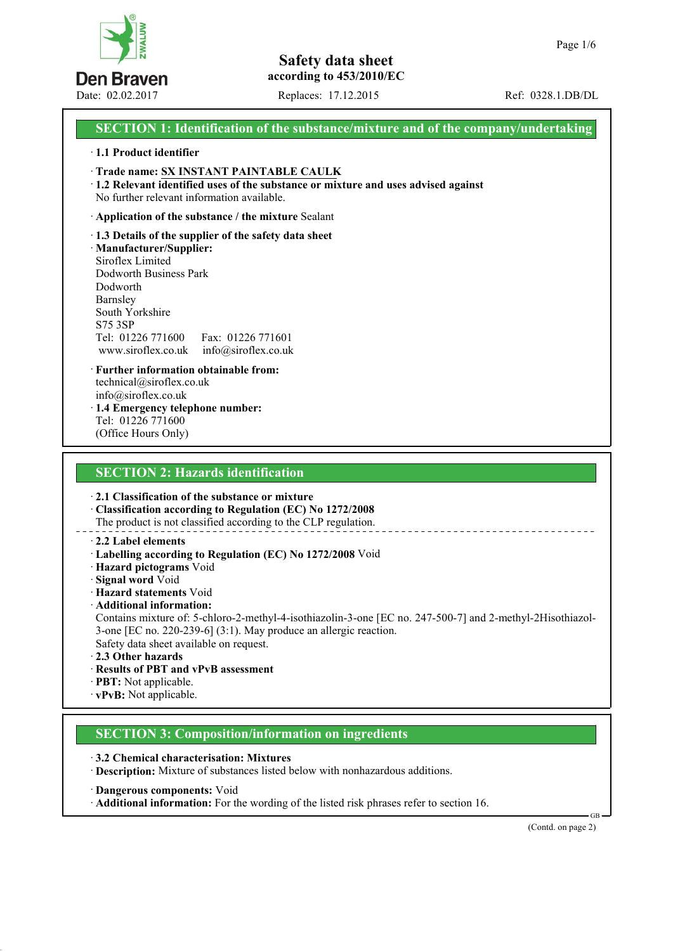

Date: 02.02.2017 Replaces: 17.12.2015 Ref: 0328.1.DB/DL

# **SECTION 1: Identification of the substance/mixture and of the company/undertaking**

#### · **1.1 Product identifier**

- · **Trade name: SX INSTANT PAINTABLE CAULK**
- · **1.2 Relevant identified uses of the substance or mixture and uses advised against**
- No further relevant information available.

#### · **Application of the substance / the mixture** Sealant

· **1.3 Details of the supplier of the safety data sheet**

· **Manufacturer/Supplier:** Siroflex Limited Dodworth Business Park Dodworth Barnsley South Yorkshire S75 3SP Tel: 01226 771600 Fax: 01226 771601

www.siroflex.co.uk info@siroflex.co.uk

- · **Further information obtainable from:** technical@siroflex.co.uk info@siroflex.co.uk · **1.4 Emergency telephone number:**
- Tel: 01226 771600 (Office Hours Only)

# **SECTION 2: Hazards identification**

· **2.1 Classification of the substance or mixture**

· **Classification according to Regulation (EC) No 1272/2008** The product is not classified according to the CLP regulation.

### · **2.2 Label elements**

- · **Labelling according to Regulation (EC) No 1272/2008** Void
- · **Hazard pictograms** Void
- · **Signal word** Void
- · **Hazard statements** Void
- · **Additional information:**

Contains mixture of: 5-chloro-2-methyl-4-isothiazolin-3-one [EC no. 247-500-7] and 2-methyl-2Hisothiazol-3-one [EC no. 220-239-6] (3:1). May produce an allergic reaction. Safety data sheet available on request.

- · **2.3 Other hazards**
- · **Results of PBT and vPvB assessment**
- · **PBT:** Not applicable.
- · **vPvB:** Not applicable.

# **SECTION 3: Composition/information on ingredients**

· **3.2 Chemical characterisation: Mixtures** · **Description:** Mixture of substances listed below with nonhazardous additions.

- · **Dangerous components:** Void
- · **Additional information:** For the wording of the listed risk phrases refer to section 16.

(Contd. on page 2)

GB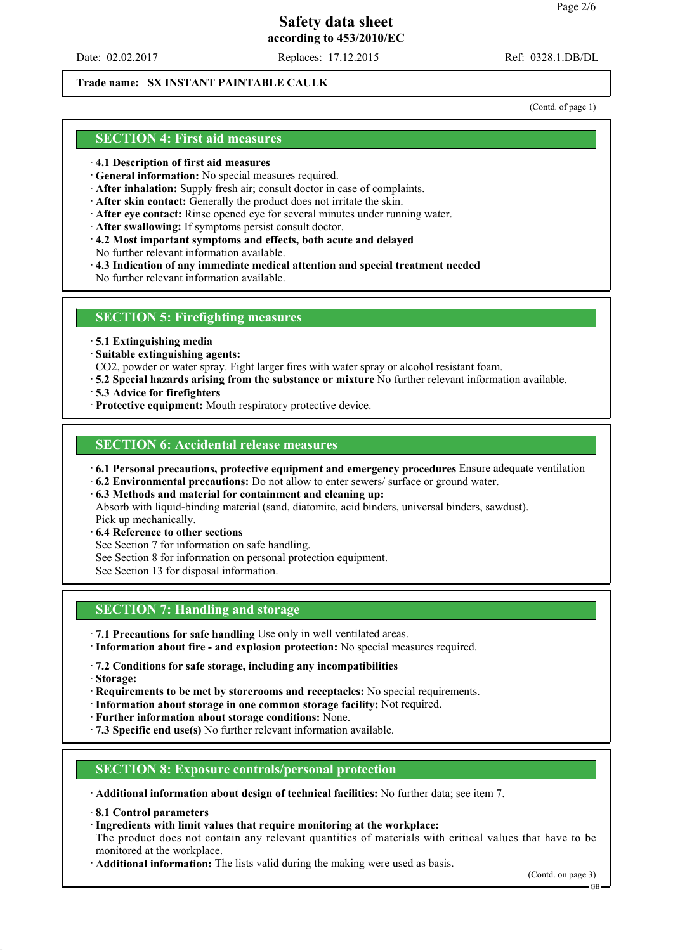Date: 02.02.2017 Replaces: 17.12.2015 Ref: 0328.1.DB/DL

# **Trade name: SX INSTANT PAINTABLE CAULK**

(Contd. of page 1)

# **SECTION 4: First aid measures**

- · **4.1 Description of first aid measures**
- · **General information:** No special measures required.
- · **After inhalation:** Supply fresh air; consult doctor in case of complaints.
- · **After skin contact:** Generally the product does not irritate the skin.
- · **After eye contact:** Rinse opened eye for several minutes under running water.
- · **After swallowing:** If symptoms persist consult doctor.
- · **4.2 Most important symptoms and effects, both acute and delayed**
- No further relevant information available.
- · **4.3 Indication of any immediate medical attention and special treatment needed**
- No further relevant information available.

#### **SECTION 5: Firefighting measures**

- · **5.1 Extinguishing media**
- · **Suitable extinguishing agents:**
- CO2, powder or water spray. Fight larger fires with water spray or alcohol resistant foam.
- · **5.2 Special hazards arising from the substance or mixture** No further relevant information available.
- · **5.3 Advice for firefighters**
- · **Protective equipment:** Mouth respiratory protective device.

### **SECTION 6: Accidental release measures**

- · **6.1 Personal precautions, protective equipment and emergency procedures** Ensure adequate ventilation
- · **6.2 Environmental precautions:** Do not allow to enter sewers/ surface or ground water.

· **6.3 Methods and material for containment and cleaning up:** Absorb with liquid-binding material (sand, diatomite, acid binders, universal binders, sawdust). Pick up mechanically.

- · **6.4 Reference to other sections**
- See Section 7 for information on safe handling.
- See Section 8 for information on personal protection equipment.
- See Section 13 for disposal information.

# **SECTION 7: Handling and storage**

- · **7.1 Precautions for safe handling** Use only in well ventilated areas.
- · **Information about fire and explosion protection:** No special measures required.
- · **7.2 Conditions for safe storage, including any incompatibilities**
- · **Storage:**
- · **Requirements to be met by storerooms and receptacles:** No special requirements.
- · **Information about storage in one common storage facility:** Not required.
- · **Further information about storage conditions:** None.
- · **7.3 Specific end use(s)** No further relevant information available.

# **SECTION 8: Exposure controls/personal protection**

· **Additional information about design of technical facilities:** No further data; see item 7.

- · **8.1 Control parameters**
- · **Ingredients with limit values that require monitoring at the workplace:**
- The product does not contain any relevant quantities of materials with critical values that have to be monitored at the workplace.
- · **Additional information:** The lists valid during the making were used as basis.

(Contd. on page 3)

GB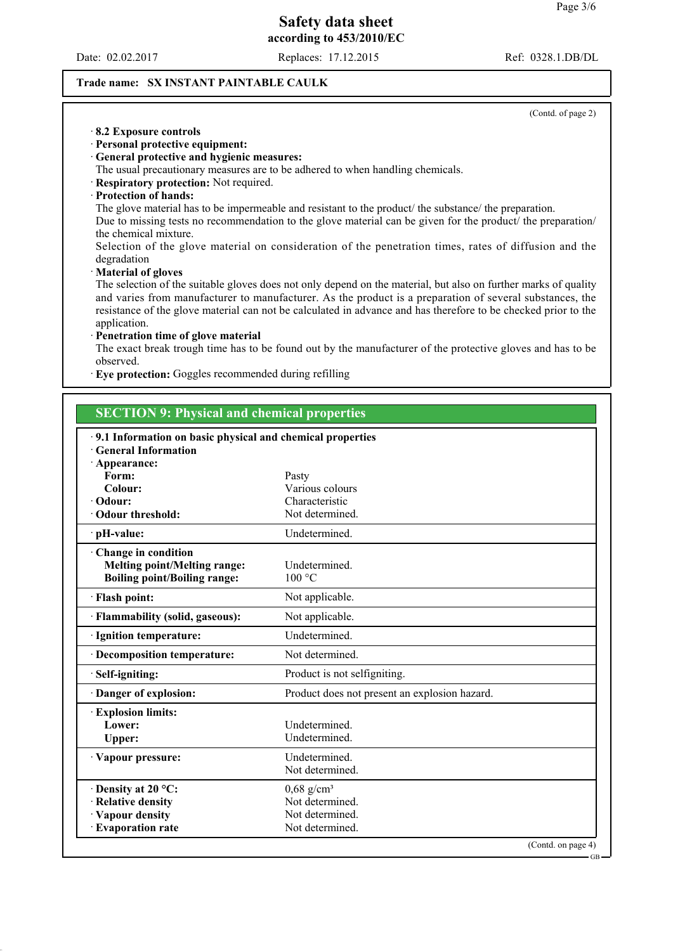Date: 02.02.2017 Replaces: 17.12.2015 Ref: 0328.1.DB/DL

(Contd. of page 2)

### **Trade name: SX INSTANT PAINTABLE CAULK**

| 8.2 Exposure controls<br>· Personal protective equipment:<br>General protective and hygienic measures:<br>Respiratory protection: Not required.<br>· Protection of hands:<br>the chemical mixture.<br>degradation<br>Material of gloves<br>application.<br>· Penetration time of glove material<br>observed.<br>· Eye protection: Goggles recommended during refilling<br><b>SECTION 9: Physical and chemical properties</b> | The usual precautionary measures are to be adhered to when handling chemicals.<br>The glove material has to be impermeable and resistant to the product/ the substance/ the preparation.<br>Due to missing tests no recommendation to the glove material can be given for the product/ the preparation/<br>Selection of the glove material on consideration of the penetration times, rates of diffusion and the<br>The selection of the suitable gloves does not only depend on the material, but also on further marks of quality<br>and varies from manufacturer to manufacturer. As the product is a preparation of several substances, the<br>resistance of the glove material can not be calculated in advance and has therefore to be checked prior to the<br>The exact break trough time has to be found out by the manufacturer of the protective gloves and has to be |  |  |
|------------------------------------------------------------------------------------------------------------------------------------------------------------------------------------------------------------------------------------------------------------------------------------------------------------------------------------------------------------------------------------------------------------------------------|---------------------------------------------------------------------------------------------------------------------------------------------------------------------------------------------------------------------------------------------------------------------------------------------------------------------------------------------------------------------------------------------------------------------------------------------------------------------------------------------------------------------------------------------------------------------------------------------------------------------------------------------------------------------------------------------------------------------------------------------------------------------------------------------------------------------------------------------------------------------------------|--|--|
|                                                                                                                                                                                                                                                                                                                                                                                                                              | 9.1 Information on basic physical and chemical properties                                                                                                                                                                                                                                                                                                                                                                                                                                                                                                                                                                                                                                                                                                                                                                                                                       |  |  |
| <b>General Information</b><br>· Appearance:                                                                                                                                                                                                                                                                                                                                                                                  |                                                                                                                                                                                                                                                                                                                                                                                                                                                                                                                                                                                                                                                                                                                                                                                                                                                                                 |  |  |
| Form:                                                                                                                                                                                                                                                                                                                                                                                                                        | Pasty                                                                                                                                                                                                                                                                                                                                                                                                                                                                                                                                                                                                                                                                                                                                                                                                                                                                           |  |  |
| Colour:                                                                                                                                                                                                                                                                                                                                                                                                                      | Various colours                                                                                                                                                                                                                                                                                                                                                                                                                                                                                                                                                                                                                                                                                                                                                                                                                                                                 |  |  |
| · Odour:                                                                                                                                                                                                                                                                                                                                                                                                                     | Characteristic                                                                                                                                                                                                                                                                                                                                                                                                                                                                                                                                                                                                                                                                                                                                                                                                                                                                  |  |  |
| Odour threshold:                                                                                                                                                                                                                                                                                                                                                                                                             | Not determined.                                                                                                                                                                                                                                                                                                                                                                                                                                                                                                                                                                                                                                                                                                                                                                                                                                                                 |  |  |
| · pH-value:                                                                                                                                                                                                                                                                                                                                                                                                                  | Undetermined.                                                                                                                                                                                                                                                                                                                                                                                                                                                                                                                                                                                                                                                                                                                                                                                                                                                                   |  |  |
| Change in condition<br><b>Melting point/Melting range:</b>                                                                                                                                                                                                                                                                                                                                                                   | Undetermined.                                                                                                                                                                                                                                                                                                                                                                                                                                                                                                                                                                                                                                                                                                                                                                                                                                                                   |  |  |
| <b>Boiling point/Boiling range:</b>                                                                                                                                                                                                                                                                                                                                                                                          | 100 °C                                                                                                                                                                                                                                                                                                                                                                                                                                                                                                                                                                                                                                                                                                                                                                                                                                                                          |  |  |
| · Flash point:                                                                                                                                                                                                                                                                                                                                                                                                               | Not applicable.                                                                                                                                                                                                                                                                                                                                                                                                                                                                                                                                                                                                                                                                                                                                                                                                                                                                 |  |  |
| · Flammability (solid, gaseous):                                                                                                                                                                                                                                                                                                                                                                                             | Not applicable.                                                                                                                                                                                                                                                                                                                                                                                                                                                                                                                                                                                                                                                                                                                                                                                                                                                                 |  |  |
| · Ignition temperature:                                                                                                                                                                                                                                                                                                                                                                                                      | Undetermined.                                                                                                                                                                                                                                                                                                                                                                                                                                                                                                                                                                                                                                                                                                                                                                                                                                                                   |  |  |
| · Decomposition temperature:                                                                                                                                                                                                                                                                                                                                                                                                 | Not determined.                                                                                                                                                                                                                                                                                                                                                                                                                                                                                                                                                                                                                                                                                                                                                                                                                                                                 |  |  |
| Self-igniting:                                                                                                                                                                                                                                                                                                                                                                                                               | Product is not selfigniting.                                                                                                                                                                                                                                                                                                                                                                                                                                                                                                                                                                                                                                                                                                                                                                                                                                                    |  |  |
| Danger of explosion:                                                                                                                                                                                                                                                                                                                                                                                                         | Product does not present an explosion hazard.                                                                                                                                                                                                                                                                                                                                                                                                                                                                                                                                                                                                                                                                                                                                                                                                                                   |  |  |
| <b>Explosion limits:</b>                                                                                                                                                                                                                                                                                                                                                                                                     |                                                                                                                                                                                                                                                                                                                                                                                                                                                                                                                                                                                                                                                                                                                                                                                                                                                                                 |  |  |
| Lower:                                                                                                                                                                                                                                                                                                                                                                                                                       | Undetermined.                                                                                                                                                                                                                                                                                                                                                                                                                                                                                                                                                                                                                                                                                                                                                                                                                                                                   |  |  |
| <b>Upper:</b>                                                                                                                                                                                                                                                                                                                                                                                                                | Undetermined.                                                                                                                                                                                                                                                                                                                                                                                                                                                                                                                                                                                                                                                                                                                                                                                                                                                                   |  |  |
| · Vapour pressure:                                                                                                                                                                                                                                                                                                                                                                                                           | Undetermined.<br>Not determined.                                                                                                                                                                                                                                                                                                                                                                                                                                                                                                                                                                                                                                                                                                                                                                                                                                                |  |  |
| $\cdot$ Density at 20 °C:                                                                                                                                                                                                                                                                                                                                                                                                    | $0,68$ g/cm <sup>3</sup>                                                                                                                                                                                                                                                                                                                                                                                                                                                                                                                                                                                                                                                                                                                                                                                                                                                        |  |  |
| · Relative density                                                                                                                                                                                                                                                                                                                                                                                                           | Not determined.                                                                                                                                                                                                                                                                                                                                                                                                                                                                                                                                                                                                                                                                                                                                                                                                                                                                 |  |  |
| Vapour density                                                                                                                                                                                                                                                                                                                                                                                                               | Not determined.                                                                                                                                                                                                                                                                                                                                                                                                                                                                                                                                                                                                                                                                                                                                                                                                                                                                 |  |  |
| · Evaporation rate                                                                                                                                                                                                                                                                                                                                                                                                           | Not determined.                                                                                                                                                                                                                                                                                                                                                                                                                                                                                                                                                                                                                                                                                                                                                                                                                                                                 |  |  |

(Contd. on page 4)

GB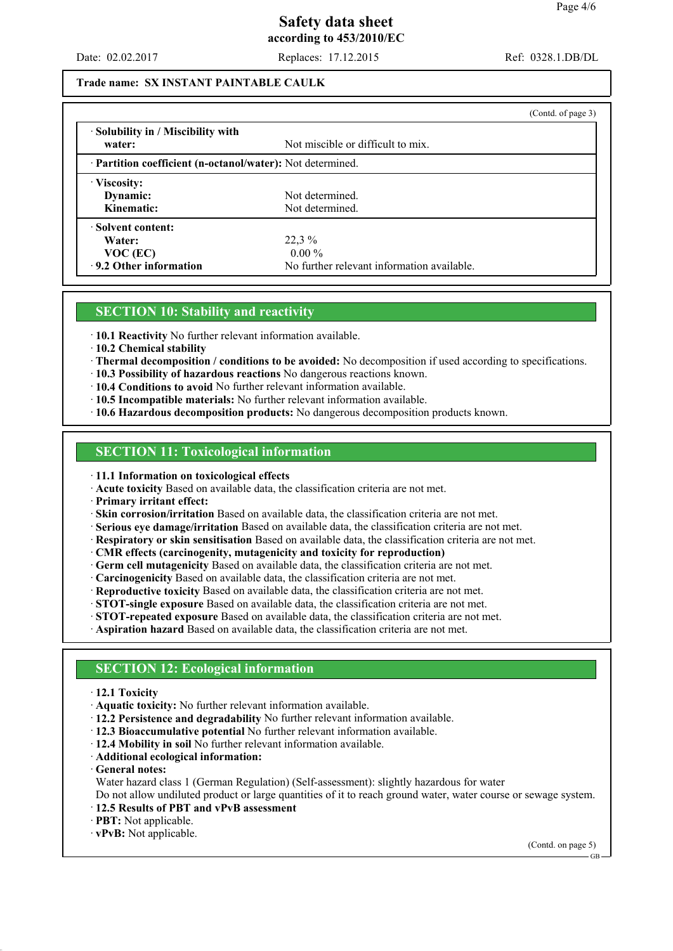Date: 02.02.2017 Replaces: 17.12.2015 Ref: 0328.1.DB/DL

#### **Trade name: SX INSTANT PAINTABLE CAULK**

|                                                                 | (Contd. of page 3)                         |  |  |
|-----------------------------------------------------------------|--------------------------------------------|--|--|
| • Solubility in / Miscibility with<br>water:                    | Not miscible or difficult to mix.          |  |  |
| <b>Partition coefficient (n-octanol/water):</b> Not determined. |                                            |  |  |
| Viscosity:                                                      |                                            |  |  |
| Dynamic:                                                        | Not determined.                            |  |  |
| Kinematic:                                                      | Not determined.                            |  |  |
| Solvent content:                                                |                                            |  |  |
| Water:                                                          | 22,3%                                      |  |  |
| $VOC$ (EC)                                                      | $0.00\%$                                   |  |  |
| 9.2 Other information                                           | No further relevant information available. |  |  |

#### **SECTION 10: Stability and reactivity**

· **10.1 Reactivity** No further relevant information available.

· **10.2 Chemical stability**

· **Thermal decomposition / conditions to be avoided:** No decomposition if used according to specifications.

· **10.3 Possibility of hazardous reactions** No dangerous reactions known.

· **10.4 Conditions to avoid** No further relevant information available.

· **10.5 Incompatible materials:** No further relevant information available.

· **10.6 Hazardous decomposition products:** No dangerous decomposition products known.

#### **SECTION 11: Toxicological information**

· **11.1 Information on toxicological effects**

· **Acute toxicity** Based on available data, the classification criteria are not met.

· **Primary irritant effect:**

· **Skin corrosion/irritation** Based on available data, the classification criteria are not met.

· **Serious eye damage/irritation** Based on available data, the classification criteria are not met.

· **Respiratory or skin sensitisation** Based on available data, the classification criteria are not met.

· **CMR effects (carcinogenity, mutagenicity and toxicity for reproduction)**

· **Germ cell mutagenicity** Based on available data, the classification criteria are not met.

· **Carcinogenicity** Based on available data, the classification criteria are not met.

· **Reproductive toxicity** Based on available data, the classification criteria are not met.

· **STOT-single exposure** Based on available data, the classification criteria are not met.

· **STOT-repeated exposure** Based on available data, the classification criteria are not met.

· **Aspiration hazard** Based on available data, the classification criteria are not met.

# **SECTION 12: Ecological information**

#### · **12.1 Toxicity**

· **Aquatic toxicity:** No further relevant information available.

· **12.2 Persistence and degradability** No further relevant information available.

· **12.3 Bioaccumulative potential** No further relevant information available.

- · **12.4 Mobility in soil** No further relevant information available.
- · **Additional ecological information:**
- · **General notes:**

Water hazard class 1 (German Regulation) (Self-assessment): slightly hazardous for water

Do not allow undiluted product or large quantities of it to reach ground water, water course or sewage system.

- · **12.5 Results of PBT and vPvB assessment**
- · **PBT:** Not applicable.

· **vPvB:** Not applicable.

(Contd. on page 5)

GB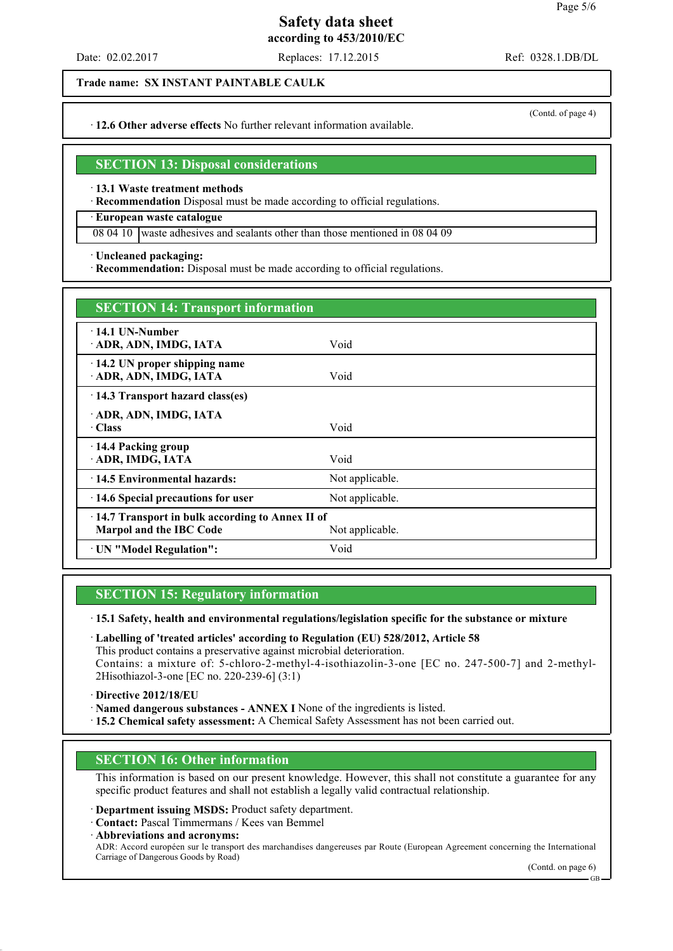Date: 02.02.2017 Replaces: 17.12.2015 Ref: 0328.1.DB/DL

**Trade name: SX INSTANT PAINTABLE CAULK** 

· **12.6 Other adverse effects** No further relevant information available.

### **SECTION 13: Disposal considerations**

· **13.1 Waste treatment methods**

· **Recommendation** Disposal must be made according to official regulations.

### · **European waste catalogue**

08 04 10 waste adhesives and sealants other than those mentioned in 08 04 09

· **Uncleaned packaging:**

· **Recommendation:** Disposal must be made according to official regulations.

| <b>SECTION 14: Transport information</b>                                                      |                 |  |
|-----------------------------------------------------------------------------------------------|-----------------|--|
| $-14.1$ UN-Number<br>ADR, ADN, IMDG, IATA                                                     | Void            |  |
| 14.2 UN proper shipping name<br>ADR, ADN, IMDG, IATA                                          | Void            |  |
| 14.3 Transport hazard class(es)                                                               |                 |  |
| ADR, ADN, IMDG, IATA<br>· Class                                                               | Void            |  |
| 14.4 Packing group<br>ADR, IMDG, IATA                                                         | Void            |  |
| 14.5 Environmental hazards:                                                                   | Not applicable. |  |
| 14.6 Special precautions for user                                                             | Not applicable. |  |
| 14.7 Transport in bulk according to Annex II of<br>Marpol and the IBC Code<br>Not applicable. |                 |  |
| UN "Model Regulation":                                                                        | Void            |  |

# **SECTION 15: Regulatory information**

· **15.1 Safety, health and environmental regulations/legislation specific for the substance or mixture**

· **Labelling of 'treated articles' according to Regulation (EU) 528/2012, Article 58** This product contains a preservative against microbial deterioration. Contains: a mixture of: 5-chloro-2-methyl-4-isothiazolin-3-one [EC no. 247-500-7] and 2-methyl-2Hisothiazol-3-one [EC no. 220-239-6] (3:1)

· **Directive 2012/18/EU**

· **Named dangerous substances - ANNEX I** None of the ingredients is listed.

· **15.2 Chemical safety assessment:** A Chemical Safety Assessment has not been carried out.

# **SECTION 16: Other information**

This information is based on our present knowledge. However, this shall not constitute a guarantee for any specific product features and shall not establish a legally valid contractual relationship.

· **Department issuing MSDS:** Product safety department.

· **Contact:** Pascal Timmermans / Kees van Bemmel

· **Abbreviations and acronyms:** ADR: Accord européen sur le transport des marchandises dangereuses par Route (European Agreement concerning the International Carriage of Dangerous Goods by Road)

(Contd. on page 6)

(Contd. of page 4)

GB